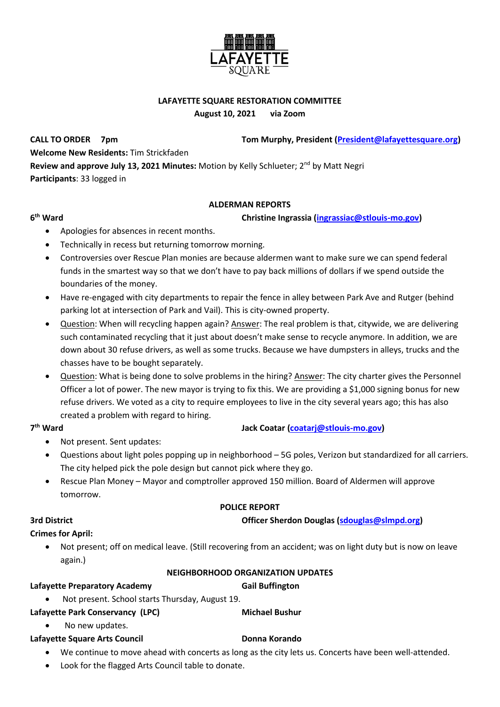

# **LAFAYETTE SQUARE RESTORATION COMMITTEE**

**August 10, 2021 via Zoom**

**CALL TO ORDER 7pm Tom Murphy, President [\(President@lafayettesquare.org\)](mailto:President@lafayettesquare.org) Welcome New Residents:** Tim Strickfaden **Review and approve July 13, 2021 Minutes:** Motion by Kelly Schlueter; 2<sup>nd</sup> by Matt Negri **Participants**: 33 logged in

## **ALDERMAN REPORTS**

### **christine Ingrassia [\(ingrassiac@stlouis-mo.gov\)](mailto:ingrassiac@stlouis-mo.gov)**

- Apologies for absences in recent months.
- Technically in recess but returning tomorrow morning.
- Controversies over Rescue Plan monies are because aldermen want to make sure we can spend federal funds in the smartest way so that we don't have to pay back millions of dollars if we spend outside the boundaries of the money.
- Have re-engaged with city departments to repair the fence in alley between Park Ave and Rutger (behind parking lot at intersection of Park and Vail). This is city-owned property.
- Question: When will recycling happen again? Answer: The real problem is that, citywide, we are delivering such contaminated recycling that it just about doesn't make sense to recycle anymore. In addition, we are down about 30 refuse drivers, as well as some trucks. Because we have dumpsters in alleys, trucks and the chasses have to be bought separately.
- Question: What is being done to solve problems in the hiring? Answer: The city charter gives the Personnel Officer a lot of power. The new mayor is trying to fix this. We are providing a \$1,000 signing bonus for new refuse drivers. We voted as a city to require employees to live in the city several years ago; this has also created a problem with regard to hiring.

## 7<sup>th</sup> Ward

**6**

## **th Ward Jack Coatar [\(coatarj@stlouis-mo.gov\)](mailto:coatarj@stlouis-mo.gov)**

- Not present. Sent updates:
- Questions about light poles popping up in neighborhood 5G poles, Verizon but standardized for all carriers. The city helped pick the pole design but cannot pick where they go.
- Rescue Plan Money Mayor and comptroller approved 150 million. Board of Aldermen will approve tomorrow.

## **POLICE REPORT**

## **3rd District Officer Sherdon Douglas [\(sdouglas@slmpd.org\)](mailto:sdouglas@slmpd.org)**

# **Crimes for April:**

• Not present; off on medical leave. (Still recovering from an accident; was on light duty but is now on leave again.)

### **NEIGHBORHOOD ORGANIZATION UPDATES**

## Lafayette Preparatory Academy **Gail Buffington**

- Not present. School starts Thursday, August 19.
- Lafayette Park Conservancy (LPC) Michael Bushur
	- No new updates.

## Lafayette Square Arts Council **Donna Korando**

- We continue to move ahead with concerts as long as the city lets us. Concerts have been well-attended.
- Look for the flagged Arts Council table to donate.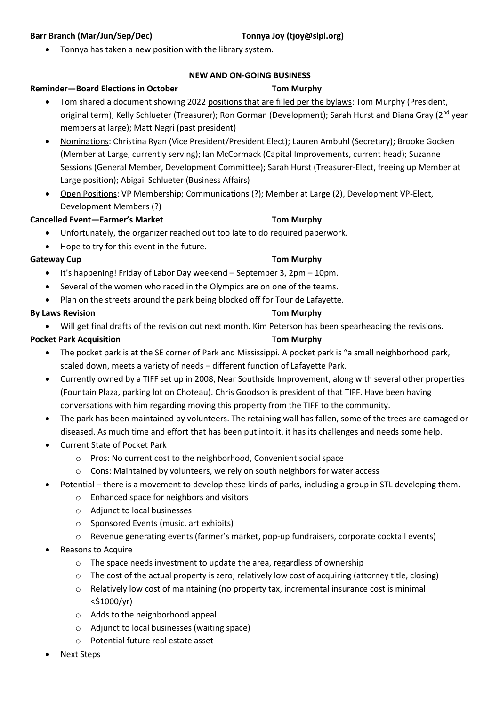### **Barr Branch (Mar/Jun/Sep/Dec) Tonnya Joy (tjoy@slpl.org)**

## • Tonnya has taken a new position with the library system.

## **NEW AND ON-GOING BUSINESS**

## **Reminder—Board Elections in October Tom Murphy**

- Tom shared a document showing 2022 positions that are filled per the bylaws: Tom Murphy (President, original term), Kelly Schlueter (Treasurer); Ron Gorman (Development); Sarah Hurst and Diana Gray (2<sup>nd</sup> year members at large); Matt Negri (past president)
- Nominations: Christina Ryan (Vice President/President Elect); Lauren Ambuhl (Secretary); Brooke Gocken (Member at Large, currently serving); Ian McCormack (Capital Improvements, current head); Suzanne Sessions (General Member, Development Committee); Sarah Hurst (Treasurer-Elect, freeing up Member at Large position); Abigail Schlueter (Business Affairs)
- Open Positions: VP Membership; Communications (?); Member at Large (2), Development VP-Elect, Development Members (?)

## **Cancelled Event—Farmer's Market Tom Murphy**

- Unfortunately, the organizer reached out too late to do required paperwork.
- Hope to try for this event in the future.

## **Gateway Cup Tom Murphy**

- It's happening! Friday of Labor Day weekend September 3, 2pm 10pm.
- Several of the women who raced in the Olympics are on one of the teams.
- Plan on the streets around the park being blocked off for Tour de Lafayette.

## **By Laws Revision Tom Murphy**

• Will get final drafts of the revision out next month. Kim Peterson has been spearheading the revisions.

### **Pocket Park Acquisition Tom Murphy**

- The pocket park is at the SE corner of Park and Mississippi. A pocket park is "a small neighborhood park, scaled down, meets a variety of needs – different function of Lafayette Park.
- Currently owned by a TIFF set up in 2008, Near Southside Improvement, along with several other properties (Fountain Plaza, parking lot on Choteau). Chris Goodson is president of that TIFF. Have been having conversations with him regarding moving this property from the TIFF to the community.
- The park has been maintained by volunteers. The retaining wall has fallen, some of the trees are damaged or diseased. As much time and effort that has been put into it, it has its challenges and needs some help.
- Current State of Pocket Park
	- o Pros: No current cost to the neighborhood, Convenient social space
	- $\circ$  Cons: Maintained by volunteers, we rely on south neighbors for water access
- Potential there is a movement to develop these kinds of parks, including a group in STL developing them.
	- o Enhanced space for neighbors and visitors
	- o Adjunct to local businesses
	- o Sponsored Events (music, art exhibits)
	- o Revenue generating events (farmer's market, pop-up fundraisers, corporate cocktail events)
- Reasons to Acquire
	- o The space needs investment to update the area, regardless of ownership
	- $\circ$  The cost of the actual property is zero; relatively low cost of acquiring (attorney title, closing)
	- o Relatively low cost of maintaining (no property tax, incremental insurance cost is minimal <\$1000/yr)
	- o Adds to the neighborhood appeal
	- o Adjunct to local businesses (waiting space)
	- o Potential future real estate asset
- Next Steps
- 
-